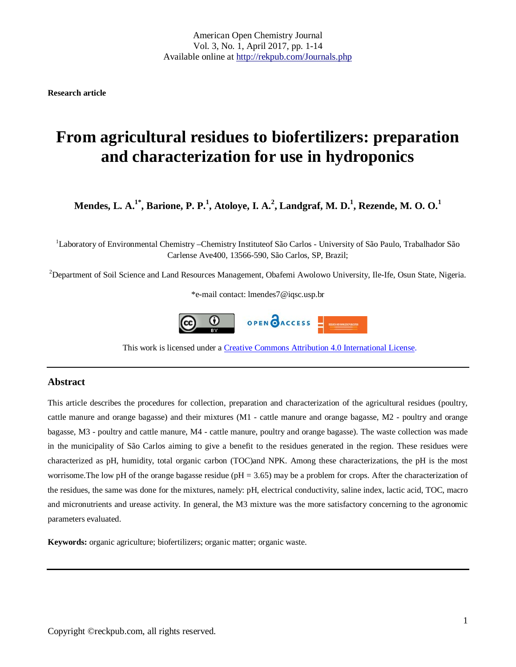**Research article**

# **From agricultural residues to biofertilizers: preparation and characterization for use in hydroponics**

**Mendes, L. A.1\*, Barione, P. P.1 , Atoloye, I. A.<sup>2</sup> , Landgraf, M. D.1 , Rezende, M. O. O.<sup>1</sup>**

<sup>1</sup>Laboratory of Environmental Chemistry –Chemistry Instituteof São Carlos - University of São Paulo, Trabalhador São Carlense Ave400, 13566-590, São Carlos, SP, Brazil;

<sup>2</sup>Department of Soil Science and Land Resources Management, Obafemi Awolowo University, Ile-Ife, Osun State, Nigeria.

\*e-mail contact: lmendes7@iqsc.usp.br



This work is licensed under a [Creative Commons Attribution 4.0 International License.](http://creativecommons.org/licenses/by/4.0/)

## **Abstract**

This article describes the procedures for collection, preparation and characterization of the agricultural residues (poultry, cattle manure and orange bagasse) and their mixtures (M1 - cattle manure and orange bagasse, M2 - poultry and orange bagasse, M3 - poultry and cattle manure, M4 - cattle manure, poultry and orange bagasse). The waste collection was made in the municipality of São Carlos aiming to give a benefit to the residues generated in the region. These residues were characterized as pH, humidity, total organic carbon (TOC)and NPK. Among these characterizations, the pH is the most worrisome. The low pH of the orange bagasse residue ( $pH = 3.65$ ) may be a problem for crops. After the characterization of the residues, the same was done for the mixtures, namely: pH, electrical conductivity, saline index, lactic acid, TOC, macro and micronutrients and urease activity. In general, the M3 mixture was the more satisfactory concerning to the agronomic parameters evaluated.

**Keywords:** organic agriculture; biofertilizers; organic matter; organic waste.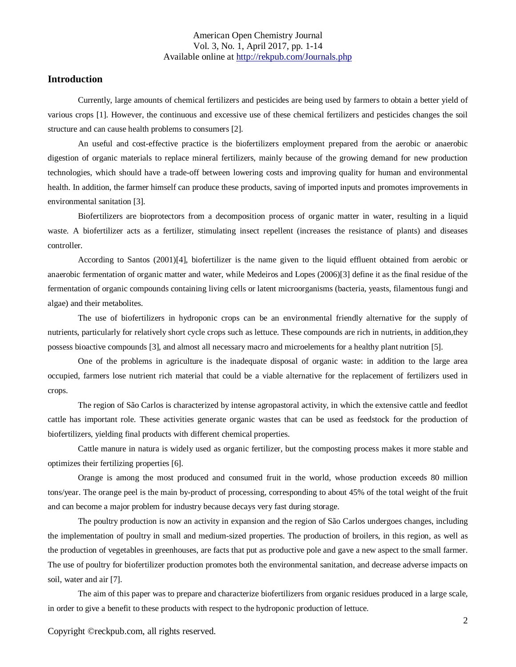## **Introduction**

Currently, large amounts of chemical fertilizers and pesticides are being used by farmers to obtain a better yield of various crops [1]. However, the continuous and excessive use of these chemical fertilizers and pesticides changes the soil structure and can cause health problems to consumers [2].

An useful and cost-effective practice is the biofertilizers employment prepared from the aerobic or anaerobic digestion of organic materials to replace mineral fertilizers, mainly because of the growing demand for new production technologies, which should have a trade-off between lowering costs and improving quality for human and environmental health. In addition, the farmer himself can produce these products, saving of imported inputs and promotes improvements in environmental sanitation [3].

Biofertilizers are bioprotectors from a decomposition process of organic matter in water, resulting in a liquid waste. A biofertilizer acts as a fertilizer, stimulating insect repellent (increases the resistance of plants) and diseases controller.

According to Santos (2001)[4], biofertilizer is the name given to the liquid effluent obtained from aerobic or anaerobic fermentation of organic matter and water, while Medeiros and Lopes (2006)[3] define it as the final residue of the fermentation of organic compounds containing living cells or latent microorganisms (bacteria, yeasts, filamentous fungi and algae) and their metabolites.

The use of biofertilizers in hydroponic crops can be an environmental friendly alternative for the supply of nutrients, particularly for relatively short cycle crops such as lettuce. These compounds are rich in nutrients, in addition,they possess bioactive compounds [3], and almost all necessary macro and microelements for a healthy plant nutrition [5].

One of the problems in agriculture is the inadequate disposal of organic waste: in addition to the large area occupied, farmers lose nutrient rich material that could be a viable alternative for the replacement of fertilizers used in crops.

The region of São Carlos is characterized by intense agropastoral activity, in which the extensive cattle and feedlot cattle has important role. These activities generate organic wastes that can be used as feedstock for the production of biofertilizers, yielding final products with different chemical properties.

Cattle manure in natura is widely used as organic fertilizer, but the composting process makes it more stable and optimizes their fertilizing properties [6].

Orange is among the most produced and consumed fruit in the world, whose production exceeds 80 million tons/year. The orange peel is the main by-product of processing, corresponding to about 45% of the total weight of the fruit and can become a major problem for industry because decays very fast during storage.

The poultry production is now an activity in expansion and the region of São Carlos undergoes changes, including the implementation of poultry in small and medium-sized properties. The production of broilers, in this region, as well as the production of vegetables in greenhouses, are facts that put as productive pole and gave a new aspect to the small farmer. The use of poultry for biofertilizer production promotes both the environmental sanitation, and decrease adverse impacts on soil, water and air [7].

The aim of this paper was to prepare and characterize biofertilizers from organic residues produced in a large scale, in order to give a benefit to these products with respect to the hydroponic production of lettuce.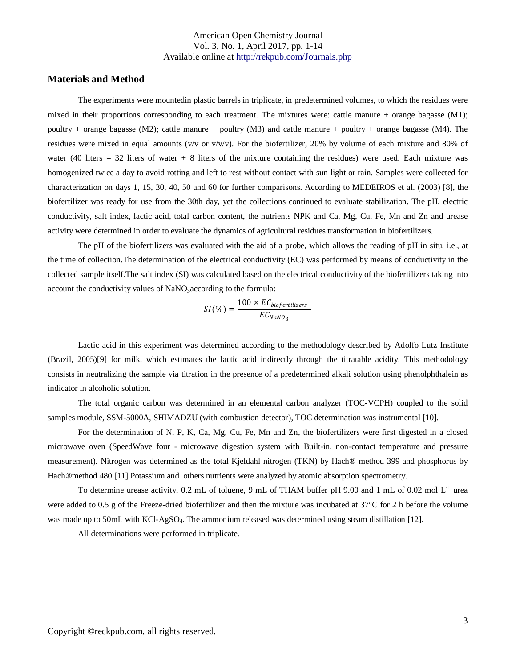## **Materials and Method**

The experiments were mountedin plastic barrels in triplicate, in predetermined volumes, to which the residues were mixed in their proportions corresponding to each treatment. The mixtures were: cattle manure + orange bagasse  $(M1)$ ; poultry + orange bagasse (M2); cattle manure + poultry (M3) and cattle manure + poultry + orange bagasse (M4). The residues were mixed in equal amounts (v/v or v/v/v). For the biofertilizer, 20% by volume of each mixture and 80% of water (40 liters  $= 32$  liters of water  $+ 8$  liters of the mixture containing the residues) were used. Each mixture was homogenized twice a day to avoid rotting and left to rest without contact with sun light or rain. Samples were collected for characterization on days 1, 15, 30, 40, 50 and 60 for further comparisons. According to MEDEIROS et al. (2003) [8], the biofertilizer was ready for use from the 30th day, yet the collections continued to evaluate stabilization. The pH, electric conductivity, salt index, lactic acid, total carbon content, the nutrients NPK and Ca, Mg, Cu, Fe, Mn and Zn and urease activity were determined in order to evaluate the dynamics of agricultural residues transformation in biofertilizers.

The pH of the biofertilizers was evaluated with the aid of a probe, which allows the reading of pH in situ, i.e., at the time of collection.The determination of the electrical conductivity (EC) was performed by means of conductivity in the collected sample itself.The salt index (SI) was calculated based on the electrical conductivity of the biofertilizers taking into account the conductivity values of NaNO<sub>3</sub> according to the formula:

$$
SI(\%) = \frac{100 \times EC_{biofertilizers}}{EC_{NaNO_3}}
$$

Lactic acid in this experiment was determined according to the methodology described by Adolfo Lutz Institute (Brazil, 2005)[9] for milk, which estimates the lactic acid indirectly through the titratable acidity. This methodology consists in neutralizing the sample via titration in the presence of a predetermined alkali solution using phenolphthalein as indicator in alcoholic solution.

The total organic carbon was determined in an elemental carbon analyzer (TOC-VCPH) coupled to the solid samples module, SSM-5000A, SHIMADZU (with combustion detector), TOC determination was instrumental [10].

For the determination of N, P, K, Ca, Mg, Cu, Fe, Mn and Zn, the biofertilizers were first digested in a closed microwave oven (SpeedWave four - microwave digestion system with Built-in, non-contact temperature and pressure measurement). Nitrogen was determined as the total Kjeldahl nitrogen (TKN) by Hach® method 399 and phosphorus by Hach®method 480 [11].Potassium and others nutrients were analyzed by atomic absorption spectrometry.

To determine urease activity, 0.2 mL of toluene, 9 mL of THAM buffer pH 9.00 and 1 mL of 0.02 mol  $L^{-1}$  urea were added to 0.5 g of the Freeze-dried biofertilizer and then the mixture was incubated at 37°C for 2 h before the volume was made up to 50mL with KCl-AgSO<sub>4</sub>. The ammonium released was determined using steam distillation [12].

All determinations were performed in triplicate.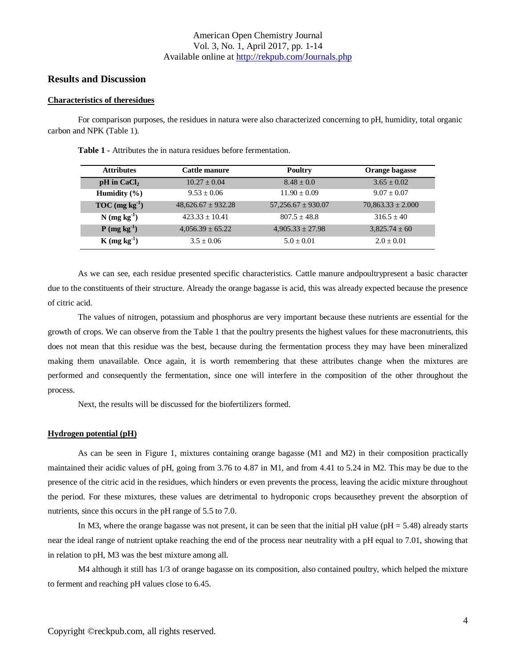### **Results and Discussion**

#### **Characteristics of theresidues**

For comparison purposes, the residues in natura were also characterized concerning to pH, humidity, total organic carbon and NPK (Table 1).

| <b>Attributes</b>          | Cattle manure          | Poultry                | Orange bagasse        |
|----------------------------|------------------------|------------------------|-----------------------|
| $pH$ in CaCl <sub>2</sub>  | $10.27 \pm 0.04$       | $8.48 \pm 0.0$         | $3.65 \pm 0.02$       |
| Humidity $(\% )$           | $9.53 + 0.06$          | $11.90 + 0.09$         | $9.07 \pm 0.07$       |
| $TOC (mg kg-1)$            | $48,626.67 \pm 932.28$ | $57,256.67 \pm 930.07$ | $70.863.33 \pm 2.000$ |
| $N$ (mg kg <sup>-1</sup> ) | $423.33 + 10.41$       | $807.5 + 48.8$         | $316.5 + 40$          |
| $P$ (mg kg <sup>-1</sup> ) | $4.056.39 \pm 65.22$   | $4,905.33 \pm 27.98$   | $3,825.74 \pm 60$     |
| $K(mg kg-1)$               | $3.5 + 0.06$           | $5.0 + 0.01$           | $2.0 + 0.01$          |

**Table 1 -** Attributes the in natura residues before fermentation.

As we can see, each residue presented specific characteristics. Cattle manure andpoultrypresent a basic character due to the constituents of their structure. Already the orange bagasse is acid, this was already expected because the presence of citric acid.

The values of nitrogen, potassium and phosphorus are very important because these nutrients are essential for the growth of crops. We can observe from the Table 1 that the poultry presents the highest values for these macronutrients, this does not mean that this residue was the best, because during the fermentation process they may have been mineralized making them unavailable. Once again, it is worth remembering that these attributes change when the mixtures are performed and consequently the fermentation, since one will interfere in the composition of the other throughout the process.

Next, the results will be discussed for the biofertilizers formed.

#### **Hydrogen potential (pH)**

As can be seen in Figure 1, mixtures containing orange bagasse (M1 and M2) in their composition practically maintained their acidic values of pH, going from 3.76 to 4.87 in M1, and from 4.41 to 5.24 in M2. This may be due to the presence of the citric acid in the residues, which hinders or even prevents the process, leaving the acidic mixture throughout the period. For these mixtures, these values are detrimental to hydroponic crops becausethey prevent the absorption of nutrients, since this occurs in the pH range of 5.5 to 7.0.

In M3, where the orange bagasse was not present, it can be seen that the initial pH value ( $pH = 5.48$ ) already starts near the ideal range of nutrient uptake reaching the end of the process near neutrality with a pH equal to 7.01, showing that in relation to pH, M3 was the best mixture among all.

M4 although it still has 1/3 of orange bagasse on its composition, also contained poultry, which helped the mixture to ferment and reaching pH values close to 6.45.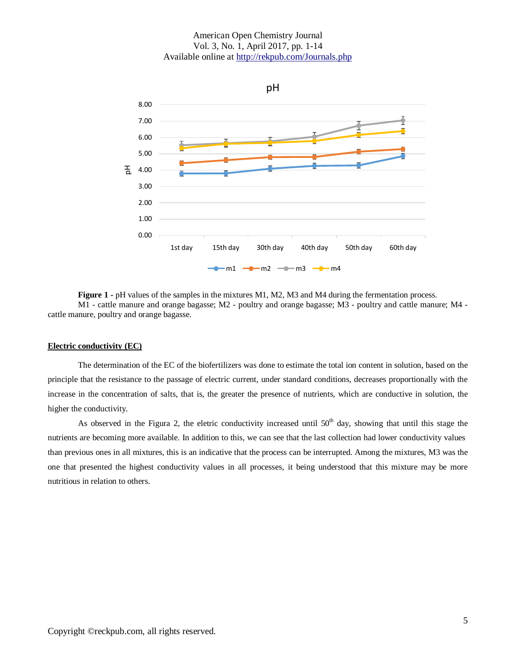

**Figure 1 -** pH values of the samples in the mixtures M1, M2, M3 and M4 during the fermentation process. M1 - cattle manure and orange bagasse; M2 - poultry and orange bagasse; M3 - poultry and cattle manure; M4 cattle manure, poultry and orange bagasse.

#### **Electric conductivity (EC)**

The determination of the EC of the biofertilizers was done to estimate the total ion content in solution, based on the principle that the resistance to the passage of electric current, under standard conditions, decreases proportionally with the increase in the concentration of salts, that is, the greater the presence of nutrients, which are conductive in solution, the higher the conductivity.

As observed in the Figura 2, the eletric conductivity increased until  $50<sup>th</sup>$  day, showing that until this stage the nutrients are becoming more available. In addition to this, we can see that the last collection had lower conductivity values than previous ones in all mixtures, this is an indicative that the process can be interrupted. Among the mixtures, M3 was the one that presented the highest conductivity values in all processes, it being understood that this mixture may be more nutritious in relation to others.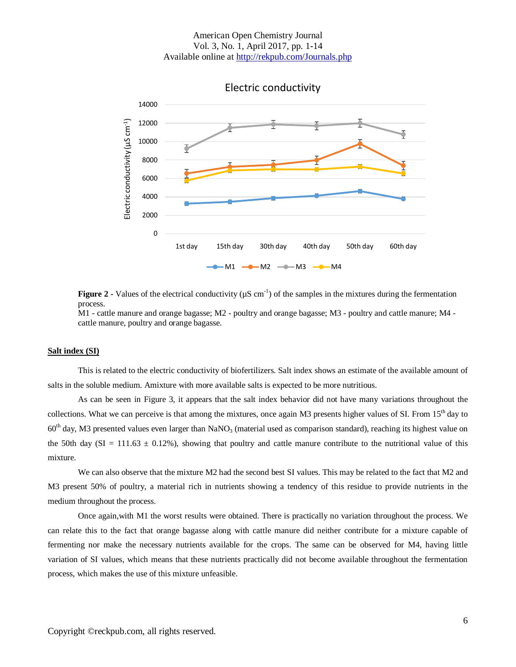

**Figure 2** - Values of the electrical conductivity ( $\mu$ S cm<sup>-1</sup>) of the samples in the mixtures during the fermentation process.

M1 - cattle manure and orange bagasse; M2 - poultry and orange bagasse; M3 - poultry and cattle manure; M4 cattle manure, poultry and orange bagasse.

#### **Salt index (SI)**

This is related to the electric conductivity of biofertilizers. Salt index shows an estimate of the available amount of salts in the soluble medium. Amixture with more available salts is expected to be more nutritious.

As can be seen in Figure 3, it appears that the salt index behavior did not have many variations throughout the collections. What we can perceive is that among the mixtures, once again M3 presents higher values of SI. From  $15<sup>th</sup>$  day to  $60<sup>th</sup>$  day, M3 presented values even larger than NaNO<sub>3</sub> (material used as comparison standard), reaching its highest value on the 50th day (SI = 111.63  $\pm$  0.12%), showing that poultry and cattle manure contribute to the nutritional value of this mixture.

We can also observe that the mixture M2 had the second best SI values. This may be related to the fact that M2 and M3 present 50% of poultry, a material rich in nutrients showing a tendency of this residue to provide nutrients in the medium throughout the process.

Once again,with M1 the worst results were obtained. There is practically no variation throughout the process. We can relate this to the fact that orange bagasse along with cattle manure did neither contribute for a mixture capable of fermenting nor make the necessary nutrients available for the crops. The same can be observed for M4, having little variation of SI values, which means that these nutrients practically did not become available throughout the fermentation process, which makes the use of this mixture unfeasible.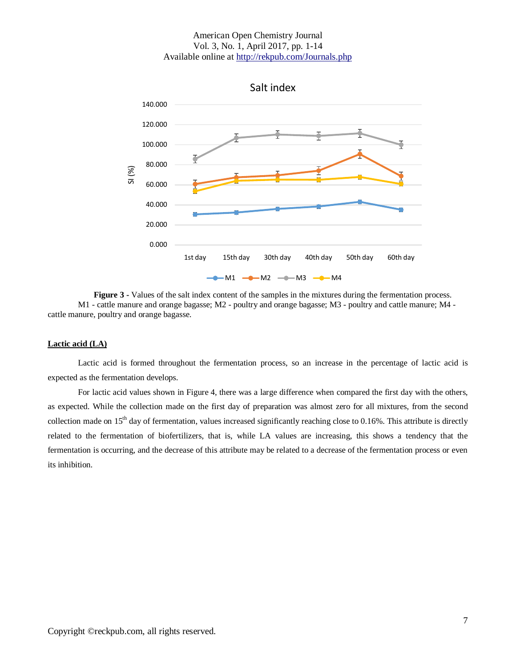

**Figure 3 -** Values of the salt index content of the samples in the mixtures during the fermentation process. M1 - cattle manure and orange bagasse; M2 - poultry and orange bagasse; M3 - poultry and cattle manure; M4 cattle manure, poultry and orange bagasse.

#### **Lactic acid (LA)**

Lactic acid is formed throughout the fermentation process, so an increase in the percentage of lactic acid is expected as the fermentation develops.

For lactic acid values shown in Figure 4, there was a large difference when compared the first day with the others, as expected. While the collection made on the first day of preparation was almost zero for all mixtures, from the second collection made on  $15<sup>th</sup>$  day of fermentation, values increased significantly reaching close to 0.16%. This attribute is directly related to the fermentation of biofertilizers, that is, while LA values are increasing, this shows a tendency that the fermentation is occurring, and the decrease of this attribute may be related to a decrease of the fermentation process or even its inhibition.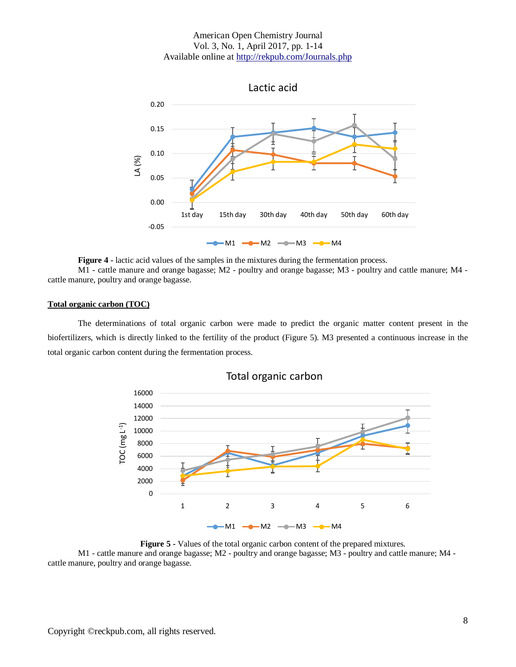

**Figure 4 -** lactic acid values of the samples in the mixtures during the fermentation process.

M1 - cattle manure and orange bagasse; M2 - poultry and orange bagasse; M3 - poultry and cattle manure; M4 cattle manure, poultry and orange bagasse.

#### **Total organic carbon (TOC)**

The determinations of total organic carbon were made to predict the organic matter content present in the biofertilizers, which is directly linked to the fertility of the product (Figure 5). M3 presented a continuous increase in the total organic carbon content during the fermentation process.



Total organic carbon

**Figure 5 -** Values of the total organic carbon content of the prepared mixtures. M1 - cattle manure and orange bagasse; M2 - poultry and orange bagasse; M3 - poultry and cattle manure; M4 cattle manure, poultry and orange bagasse.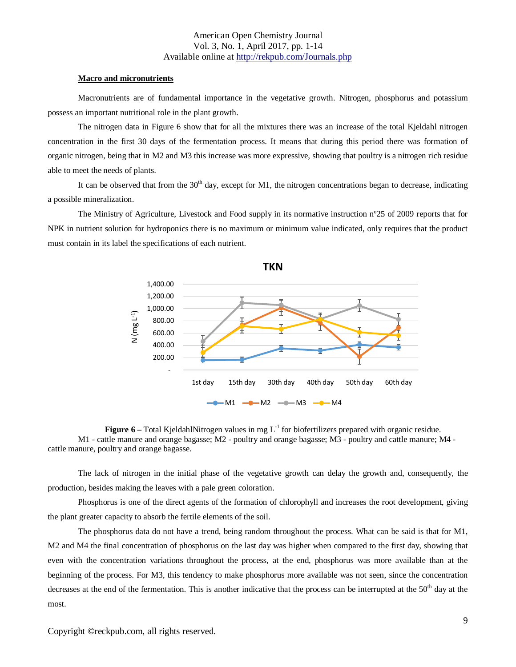#### **Macro and micronutrients**

Macronutrients are of fundamental importance in the vegetative growth. Nitrogen, phosphorus and potassium possess an important nutritional role in the plant growth.

The nitrogen data in Figure 6 show that for all the mixtures there was an increase of the total Kjeldahl nitrogen concentration in the first 30 days of the fermentation process. It means that during this period there was formation of organic nitrogen, being that in M2 and M3 this increase was more expressive, showing that poultry is a nitrogen rich residue able to meet the needs of plants.

It can be observed that from the  $30<sup>th</sup>$  day, except for M1, the nitrogen concentrations began to decrease, indicating a possible mineralization.

The Ministry of Agriculture, Livestock and Food supply in its normative instruction nº25 of 2009 reports that for NPK in nutrient solution for hydroponics there is no maximum or minimum value indicated, only requires that the product must contain in its label the specifications of each nutrient.



**Figure 6** – Total KjeldahlNitrogen values in mg  $L^{-1}$  for biofertilizers prepared with organic residue. M1 - cattle manure and orange bagasse; M2 - poultry and orange bagasse; M3 - poultry and cattle manure; M4 cattle manure, poultry and orange bagasse.

The lack of nitrogen in the initial phase of the vegetative growth can delay the growth and, consequently, the production, besides making the leaves with a pale green coloration.

Phosphorus is one of the direct agents of the formation of chlorophyll and increases the root development, giving the plant greater capacity to absorb the fertile elements of the soil.

The phosphorus data do not have a trend, being random throughout the process. What can be said is that for M1, M2 and M4 the final concentration of phosphorus on the last day was higher when compared to the first day, showing that even with the concentration variations throughout the process, at the end, phosphorus was more available than at the beginning of the process. For M3, this tendency to make phosphorus more available was not seen, since the concentration decreases at the end of the fermentation. This is another indicative that the process can be interrupted at the  $50<sup>th</sup>$  day at the most.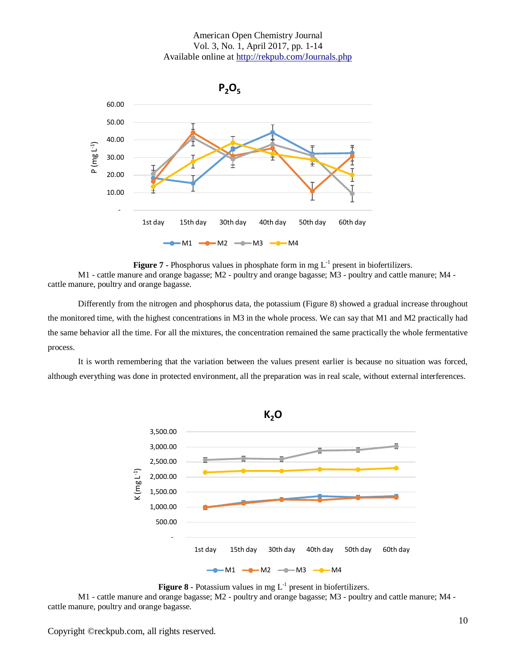

**Figure 7 -** Phosphorus values in phosphate form in mg  $L^{-1}$  present in biofertilizers.

M1 - cattle manure and orange bagasse; M2 - poultry and orange bagasse; M3 - poultry and cattle manure; M4 cattle manure, poultry and orange bagasse.

Differently from the nitrogen and phosphorus data, the potassium (Figure 8) showed a gradual increase throughout the monitored time, with the highest concentrations in M3 in the whole process. We can say that M1 and M2 practically had the same behavior all the time. For all the mixtures, the concentration remained the same practically the whole fermentative process.

It is worth remembering that the variation between the values present earlier is because no situation was forced, although everything was done in protected environment, all the preparation was in real scale, without external interferences.





M1 - cattle manure and orange bagasse; M2 - poultry and orange bagasse; M3 - poultry and cattle manure; M4 cattle manure, poultry and orange bagasse.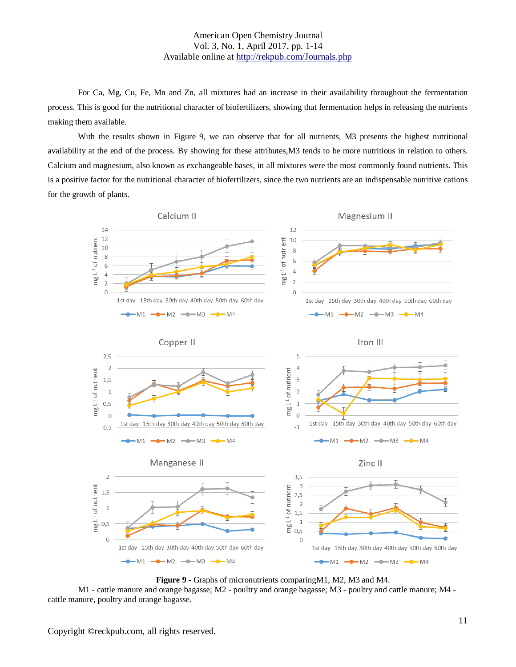For Ca, Mg, Cu, Fe, Mn and Zn, all mixtures had an increase in their availability throughout the fermentation process. This is good for the nutritional character of biofertilizers, showing that fermentation helps in releasing the nutrients making them available.

With the results shown in Figure 9, we can observe that for all nutrients, M3 presents the highest nutritional availability at the end of the process. By showing for these attributes,M3 tends to be more nutritious in relation to others. Calcium and magnesium, also known as exchangeable bases, in all mixtures were the most commonly found nutrients. This is a positive factor for the nutritional character of biofertilizers, since the two nutrients are an indispensable nutritive cations for the growth of plants.



**Figure 9 -** Graphs of micronutrients comparingM1, M2, M3 and M4.

M1 - cattle manure and orange bagasse; M2 - poultry and orange bagasse; M3 - poultry and cattle manure; M4 cattle manure, poultry and orange bagasse.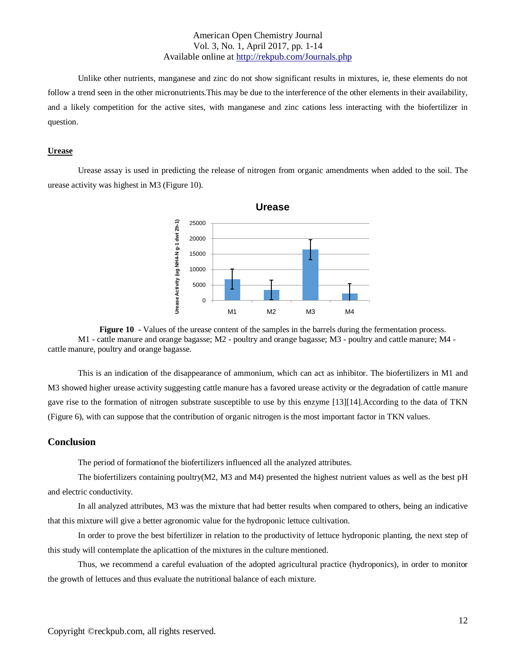Unlike other nutrients, manganese and zinc do not show significant results in mixtures, ie, these elements do not follow a trend seen in the other micronutrients. This may be due to the interference of the other elements in their availability, and a likely competition for the active sites, with manganese and zinc cations less interacting with the biofertilizer in question.

#### **Urease**

Urease assay is used in predicting the release of nitrogen from organic amendments when added to the soil. The urease activity was highest in M3 (Figure 10).





This is an indication of the disappearance of ammonium, which can act as inhibitor. The biofertilizers in M1 and M3 showed higher urease activity suggesting cattle manure has a favored urease activity or the degradation of cattle manure gave rise to the formation of nitrogen substrate susceptible to use by this enzyme [13][14].According to the data of TKN (Figure 6), with can suppose that the contribution of organic nitrogen is the most important factor in TKN values.

#### **Conclusion**

The period of formationof the biofertilizers influenced all the analyzed attributes.

The biofertilizers containing poultry(M2, M3 and M4) presented the highest nutrient values as well as the best pH and electric conductivity.

In all analyzed attributes, M3 was the mixture that had better results when compared to others, being an indicative that this mixture will give a better agronomic value for the hydroponic lettuce cultivation.

In order to prove the best bifertilizer in relation to the productivity of lettuce hydroponic planting, the next step of this study will contemplate the aplicattion of the mixtures in the culture mentioned.

Thus, we recommend a careful evaluation of the adopted agricultural practice (hydroponics), in order to monitor the growth of lettuces and thus evaluate the nutritional balance of each mixture.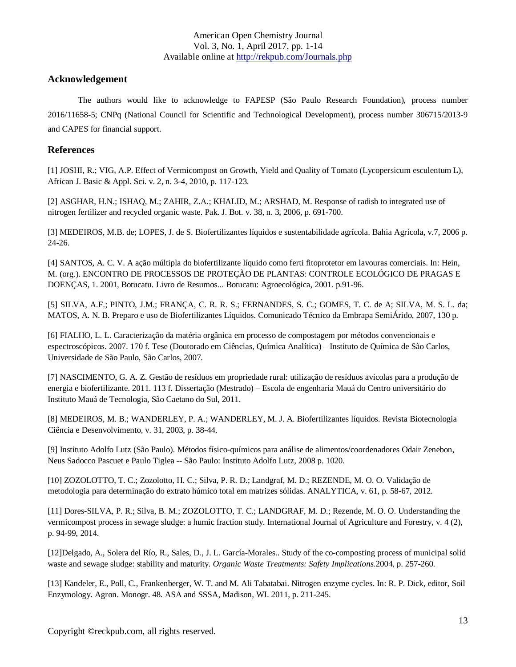# **Acknowledgement**

The authors would like to acknowledge to FAPESP (São Paulo Research Foundation), process number 2016/11658-5; CNPq (National Council for Scientific and Technological Development), process number 306715/2013-9 and CAPES for financial support.

# **References**

[1] JOSHI, R.; VIG, A.P. Effect of Vermicompost on Growth, Yield and Quality of Tomato (Lycopersicum esculentum L), African J. Basic & Appl. Sci. v. 2, n. 3-4, 2010, p. 117-123.

[2] ASGHAR, H.N.; ISHAQ, M.; ZAHIR, Z.A.; KHALID, M.; ARSHAD, M. Response of radish to integrated use of nitrogen fertilizer and recycled organic waste. Pak. J. Bot. v. 38, n. 3, 2006, p. 691-700.

[3] MEDEIROS, M.B. de; LOPES, J. de S. Biofertilizantes líquidos e sustentabilidade agrícola. Bahia Agrícola, v.7, 2006 p. 24-26.

[4] SANTOS, A. C. V. A ação múltipla do biofertilizante líquido como ferti fitoprotetor em lavouras comerciais. In: Hein, M. (org.). ENCONTRO DE PROCESSOS DE PROTEÇÃO DE PLANTAS: CONTROLE ECOLÓGICO DE PRAGAS E DOENÇAS, 1. 2001, Botucatu. Livro de Resumos... Botucatu: Agroecológica, 2001. p.91-96.

[5] SILVA, A.F.; PINTO, J.M.; FRANÇA, C. R. R. S.; FERNANDES, S. C.; GOMES, T. C. de A; SILVA, M. S. L. da; MATOS, A. N. B. Preparo e uso de Biofertilizantes Líquidos. Comunicado Técnico da Embrapa SemiÁrido, 2007, 130 p.

[6] FIALHO, L. L. Caracterização da matéria orgânica em processo de compostagem por métodos convencionais e espectroscópicos. 2007. 170 f. Tese (Doutorado em Ciências, Química Analítica) – Instituto de Química de São Carlos, Universidade de São Paulo, São Carlos, 2007.

[7] NASCIMENTO, G. A. Z. Gestão de resíduos em propriedade rural: utilização de resíduos avícolas para a produção de energia e biofertilizante. 2011. 113 f. Dissertação (Mestrado) – Escola de engenharia Mauá do Centro universitário do Instituto Mauá de Tecnologia, São Caetano do Sul, 2011.

[8] MEDEIROS, M. B.; WANDERLEY, P. A.; WANDERLEY, M. J. A. Biofertilizantes líquidos. Revista Biotecnologia Ciência e Desenvolvimento, v. 31, 2003, p. 38-44.

[9] Instituto Adolfo Lutz (São Paulo). Métodos físico-químicos para análise de alimentos/coordenadores Odair Zenebon, Neus Sadocco Pascuet e Paulo Tiglea -- São Paulo: Instituto Adolfo Lutz, 2008 p. 1020.

[10] ZOZOLOTTO, T. C.; Zozolotto, H. C.; Silva, P. R. D.; Landgraf, M. D.; REZENDE, M. O. O. Validação de metodologia para determinação do extrato húmico total em matrizes sólidas. ANALYTICA, v. 61, p. 58-67, 2012.

[11] Dores-SILVA, P. R.; Silva, B. M.; ZOZOLOTTO, T. C.; LANDGRAF, M. D.; Rezende, M. O. O. Understanding the vermicompost process in sewage sludge: a humic fraction study. International Journal of Agriculture and Forestry, v. 4 (2), p. 94-99, 2014.

[12]Delgado, A., Solera del Río, R., Sales, D., J. L. García-Morales.. Study of the co-composting process of municipal solid waste and sewage sludge: stability and maturity. *Organic Waste Treatments: Safety Implications.*2004, p. 257-260.

[13] Kandeler, E., Poll, C., Frankenberger, W. T. and M. Ali Tabatabai. Nitrogen enzyme cycles. In: R. P. Dick, editor, Soil Enzymology. Agron. Monogr. 48. ASA and SSSA, Madison, WI. 2011, p. 211-245.